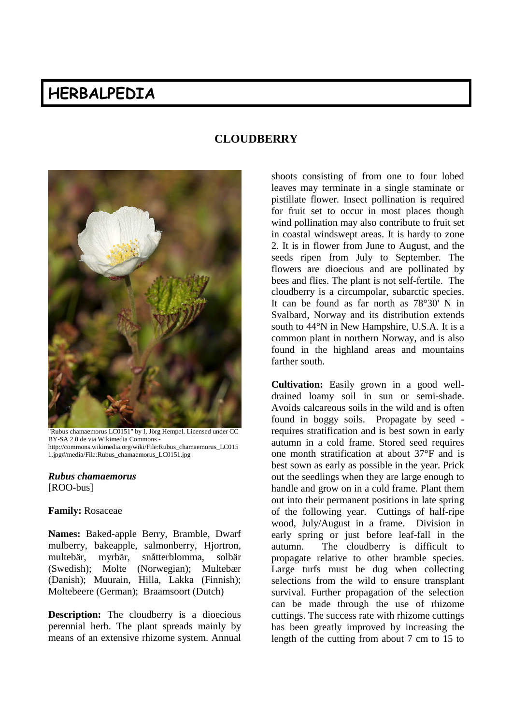# **HERBALPEDIA**



"Rubus chamaemorus LC0151" by I, Jörg Hempel. Licensed under CC BY-SA 2.0 de via Wikimedia Commons http://commons.wikimedia.org/wiki/File:Rubus\_chamaemorus\_LC015 1.jpg#/media/File:Rubus\_chamaemorus\_LC0151.jpg

#### *Rubus chamaemorus* [ROO-bus]

#### **Family:** Rosaceae

**Names:** Baked-apple Berry, Bramble, Dwarf mulberry, bakeapple, salmonberry, Hjortron, multebär, myrbär, snåtterblomma, solbär (Swedish); Molte (Norwegian); Multebær (Danish); Muurain, Hilla, Lakka (Finnish); Moltebeere (German); Braamsoort (Dutch)

**Description:** The cloudberry is a dioecious perennial herb. The plant spreads mainly by means of an extensive rhizome system. Annual

## **CLOUDBERRY**

shoots consisting of from one to four lobed leaves may terminate in a single staminate or pistillate flower. Insect pollination is required for fruit set to occur in most places though wind pollination may also contribute to fruit set in coastal windswept areas. It is hardy to zone 2. It is in flower from June to August, and the seeds ripen from July to September. The flowers are dioecious and are pollinated by bees and flies. The plant is not self-fertile. The cloudberry is a circumpolar, subarctic species. It can be found as far north as 78°30' N in Svalbard, Norway and its distribution extends south to 44°N in New Hampshire, U.S.A. It is a common plant in northern Norway, and is also found in the highland areas and mountains farther south.

**Cultivation:** Easily grown in a good welldrained loamy soil in sun or semi-shade. Avoids calcareous soils in the wild and is often found in boggy soils. Propagate by seed requires stratification and is best sown in early autumn in a cold frame. Stored seed requires one month stratification at about 37°F and is best sown as early as possible in the year. Prick out the seedlings when they are large enough to handle and grow on in a cold frame. Plant them out into their permanent positions in late spring of the following year. Cuttings of half-ripe wood, July/August in a frame. Division in early spring or just before leaf-fall in the autumn. The cloudberry is difficult to propagate relative to other bramble species. Large turfs must be dug when collecting selections from the wild to ensure transplant survival. Further propagation of the selection can be made through the use of rhizome cuttings. The success rate with rhizome cuttings has been greatly improved by increasing the length of the cutting from about 7 cm to 15 to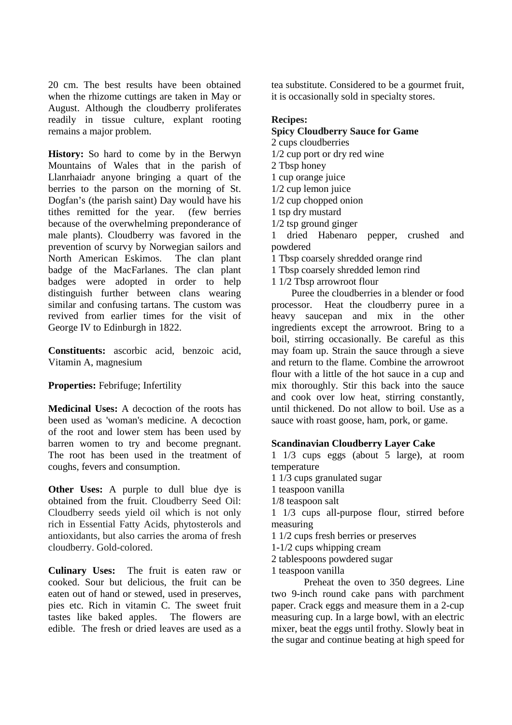20 cm. The best results have been obtained when the rhizome cuttings are taken in May or August. Although the cloudberry proliferates readily in tissue culture, explant rooting remains a major problem.

**History:** So hard to come by in the Berwyn Mountains of Wales that in the parish of Llanrhaiadr anyone bringing a quart of the berries to the parson on the morning of St. Dogfan's (the parish saint) Day would have his tithes remitted for the year. (few berries because of the overwhelming preponderance of male plants). Cloudberry was favored in the prevention of scurvy by Norwegian sailors and North American Eskimos. The clan plant badge of the MacFarlanes. The clan plant badges were adopted in order to help distinguish further between clans wearing similar and confusing tartans. The custom was revived from earlier times for the visit of George IV to Edinburgh in 1822.

**Constituents:** ascorbic acid, benzoic acid, Vitamin A, magnesium

**Properties:** Febrifuge; Infertility

**Medicinal Uses:** A decoction of the roots has been used as 'woman's medicine. A decoction of the root and lower stem has been used by barren women to try and become pregnant. The root has been used in the treatment of coughs, fevers and consumption.

**Other Uses:** A purple to dull blue dye is obtained from the fruit. Cloudberry Seed Oil: Cloudberry seeds yield oil which is not only rich in Essential Fatty Acids, phytosterols and antioxidants, but also carries the aroma of fresh cloudberry. Gold-colored.

**Culinary Uses:** The fruit is eaten raw or cooked. Sour but delicious, the fruit can be eaten out of hand or stewed, used in preserves, pies etc. Rich in vitamin C. The sweet fruit tastes like baked apples. The flowers are edible. The fresh or dried leaves are used as a

tea substitute. Considered to be a gourmet fruit, it is occasionally sold in specialty stores.

### **Recipes:**

**Spicy Cloudberry Sauce for Game**

2 cups cloudberries

- 1/2 cup port or dry red wine
- 2 Tbsp honey

1 cup orange juice

1/2 cup lemon juice

1/2 cup chopped onion

1 tsp dry mustard 1/2 tsp ground ginger

1 dried Habenaro pepper, crushed and

powdered 1 Tbsp coarsely shredded orange rind

1 Tbsp coarsely shredded lemon rind

1 1/2 Tbsp arrowroot flour

Puree the cloudberries in a blender or food processor. Heat the cloudberry puree in a heavy saucepan and mix in the other ingredients except the arrowroot. Bring to a boil, stirring occasionally. Be careful as this may foam up. Strain the sauce through a sieve and return to the flame. Combine the arrowroot flour with a little of the hot sauce in a cup and mix thoroughly. Stir this back into the sauce and cook over low heat, stirring constantly, until thickened. Do not allow to boil. Use as a

sauce with roast goose, ham, pork, or game.

## **Scandinavian Cloudberry Layer Cake**

1 1/3 cups eggs (about 5 large), at room temperature

1 1/3 cups granulated sugar

- 1 teaspoon vanilla
- 1/8 teaspoon salt

1 1/3 cups all-purpose flour, stirred before measuring

- 1 1/2 cups fresh berries or preserves
- 1-1/2 cups whipping cream
- 2 tablespoons powdered sugar
- 1 teaspoon vanilla

Preheat the oven to 350 degrees. Line two 9-inch round cake pans with parchment paper. Crack eggs and measure them in a 2-cup measuring cup. In a large bowl, with an electric mixer, beat the eggs until frothy. Slowly beat in the sugar and continue beating at high speed for